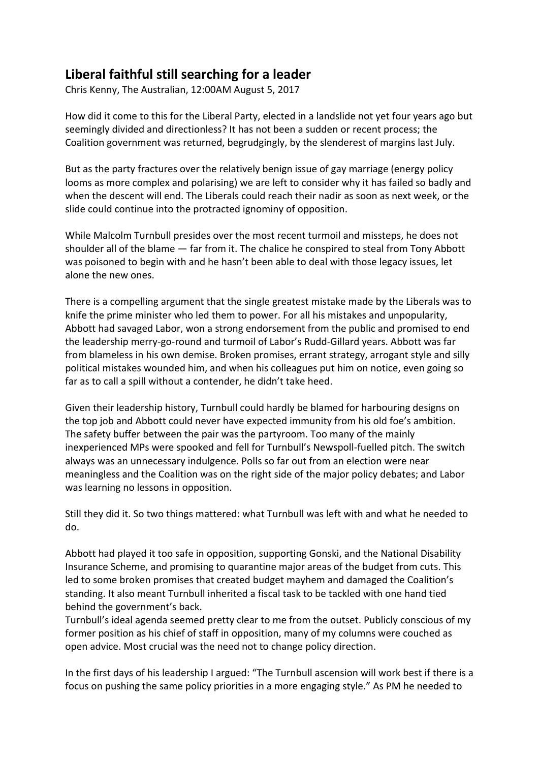## **Liberal faithful still searching for a leader**

Chris Kenny, The Australian, 12:00AM August 5, 2017

How did it come to this for the Liberal Party, elected in a landslide not yet four years ago but seemingly divided and directionless? It has not been a sudden or recent process; the Coalition government was returned, begrudgingly, by the slenderest of margins last July.

But as the party fractures over the relatively benign issue of gay marriage (energy policy looms as more complex and polarising) we are left to consider why it has failed so badly and when the descent will end. The Liberals could reach their nadir as soon as next week, or the slide could continue into the protracted ignominy of opposition.

While Malcolm Turnbull presides over the most recent turmoil and missteps, he does not shoulder all of the blame — far from it. The chalice he conspired to steal from Tony Abbott was poisoned to begin with and he hasn't been able to deal with those legacy issues, let alone the new ones.

There is a compelling argument that the single greatest mistake made by the Liberals was to knife the prime minister who led them to power. For all his mistakes and unpopularity, Abbott had savaged Labor, won a strong endorsement from the public and promised to end the leadership merry-go-round and turmoil of Labor's Rudd-Gillard years. Abbott was far from blameless in his own demise. Broken promises, errant strategy, arrogant style and silly political mistakes wounded him, and when his colleagues put him on notice, even going so far as to call a spill without a contender, he didn't take heed.

Given their leadership history, Turnbull could hardly be blamed for harbouring designs on the top job and Abbott could never have expected immunity from his old foe's ambition. The safety buffer between the pair was the partyroom. Too many of the mainly inexperienced MPs were spooked and fell for Turnbull's Newspoll-fuelled pitch. The switch always was an unnecessary indulgence. Polls so far out from an election were near meaningless and the Coalition was on the right side of the major policy debates; and Labor was learning no lessons in opposition.

Still they did it. So two things mattered: what Turnbull was left with and what he needed to do.

Abbott had played it too safe in opposition, supporting Gonski, and the National Disability Insurance Scheme, and promising to quarantine major areas of the budget from cuts. This led to some broken promises that created budget mayhem and damaged the Coalition's standing. It also meant Turnbull inherited a fiscal task to be tackled with one hand tied behind the government's back.

Turnbull's ideal agenda seemed pretty clear to me from the outset. Publicly conscious of my former position as his chief of staff in opposition, many of my columns were couched as open advice. Most crucial was the need not to change policy direction.

In the first days of his leadership I argued: "The Turnbull ascension will work best if there is a focus on pushing the same policy priorities in a more engaging style." As PM he needed to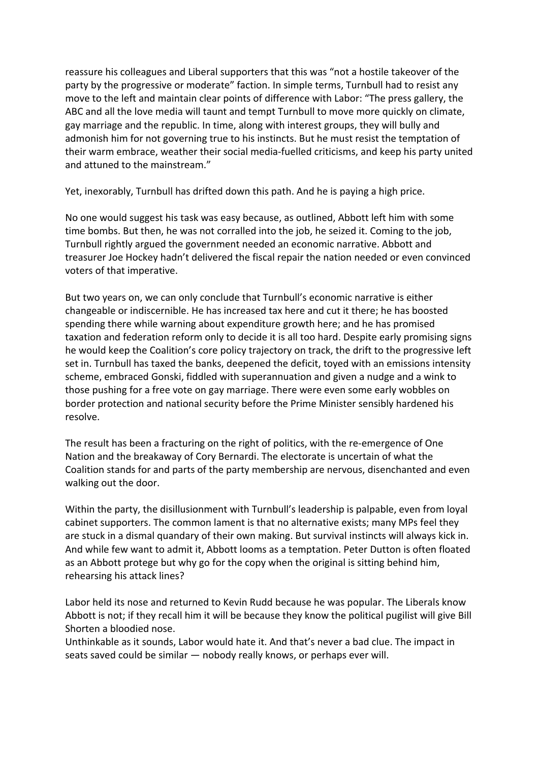reassure his colleagues and Liberal supporters that this was "not a hostile takeover of the party by the progressive or moderate" faction. In simple terms, Turnbull had to resist any move to the left and maintain clear points of difference with Labor: "The press gallery, the ABC and all the love media will taunt and tempt Turnbull to move more quickly on climate, gay marriage and the republic. In time, along with interest groups, they will bully and admonish him for not governing true to his instincts. But he must resist the temptation of their warm embrace, weather their social media-fuelled criticisms, and keep his party united and attuned to the mainstream."

Yet, inexorably, Turnbull has drifted down this path. And he is paying a high price.

No one would suggest his task was easy because, as outlined, Abbott left him with some time bombs. But then, he was not corralled into the job, he seized it. Coming to the job, Turnbull rightly argued the government needed an economic narrative. Abbott and treasurer Joe Hockey hadn't delivered the fiscal repair the nation needed or even convinced voters of that imperative.

But two years on, we can only conclude that Turnbull's economic narrative is either changeable or indiscernible. He has increased tax here and cut it there; he has boosted spending there while warning about expenditure growth here; and he has promised taxation and federation reform only to decide it is all too hard. Despite early promising signs he would keep the Coalition's core policy trajectory on track, the drift to the progressive left set in. Turnbull has taxed the banks, deepened the deficit, toyed with an emissions intensity scheme, embraced Gonski, fiddled with superannuation and given a nudge and a wink to those pushing for a free vote on gay marriage. There were even some early wobbles on border protection and national security before the Prime Minister sensibly hardened his resolve.

The result has been a fracturing on the right of politics, with the re-emergence of One Nation and the breakaway of Cory Bernardi. The electorate is uncertain of what the Coalition stands for and parts of the party membership are nervous, disenchanted and even walking out the door.

Within the party, the disillusionment with Turnbull's leadership is palpable, even from loyal cabinet supporters. The common lament is that no alternative exists; many MPs feel they are stuck in a dismal quandary of their own making. But survival instincts will always kick in. And while few want to admit it, Abbott looms as a temptation. Peter Dutton is often floated as an Abbott protege but why go for the copy when the original is sitting behind him, rehearsing his attack lines?

Labor held its nose and returned to Kevin Rudd because he was popular. The Liberals know Abbott is not; if they recall him it will be because they know the political pugilist will give Bill Shorten a bloodied nose.

Unthinkable as it sounds, Labor would hate it. And that's never a bad clue. The impact in seats saved could be similar — nobody really knows, or perhaps ever will.